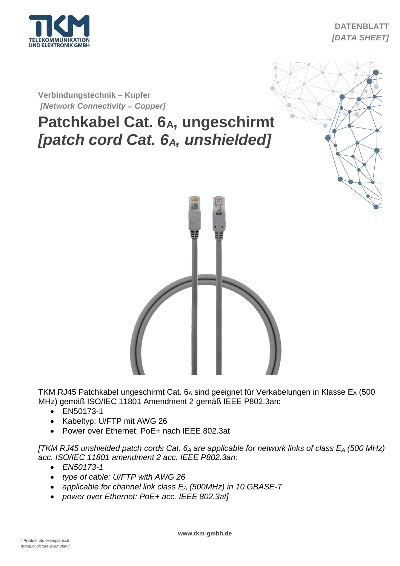

## **DATENBLATT** *[DATA SHEET]*

**Verbindungstechnik – Kupfer** *[Network Connectivity* **–** *Copper]*

## **Patchkabel Cat. 6A, ungeschirmt** *[patch cord Cat. 6A, unshielded]*





TKM RJ45 Patchkabel ungeschirmt Cat. 6A sind geeignet für Verkabelungen in Klasse EA (500 MHz) gemäß ISO/IEC 11801 Amendment 2 gemäß IEEE P802.3an:

- EN50173-1
- Kabeltyp: U/FTP mit AWG 26
- Power over Ethernet: PoE+ nach IEEE 802.3at

*[TKM RJ45 unshielded patch cords Cat. 6<sup>A</sup> are applicable for network links of class E<sup>A</sup> (500 MHz) acc. ISO/IEC 11801 amendment 2 acc. IEEE P802.3an:*

- *EN50173-1*
- *type of cable: U/FTP with AWG 26*
- *applicable for channel link class E<sup>A</sup> (500MHz) in 10 GBASE-T*
- *power over Ethernet: PoE+ acc. IEEE 802.3at]*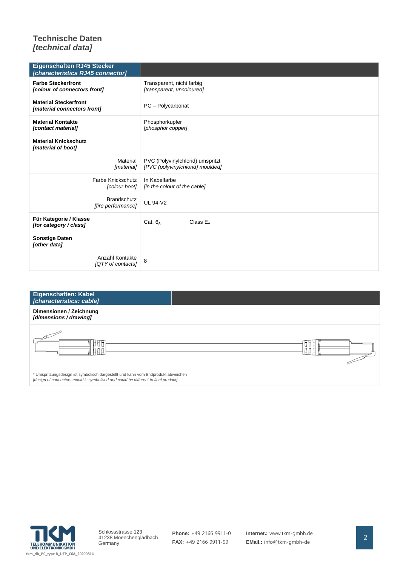## **Technische Daten** *[technical data]*

| Eigenschaften RJ45 Stecker<br>[characteristics RJ45 connector] |                                                                      |             |
|----------------------------------------------------------------|----------------------------------------------------------------------|-------------|
| <b>Farbe Steckerfront</b><br>[colour of connectors front]      | Transparent, nicht farbig<br>[transparent, uncoloured]               |             |
| <b>Material Steckerfront</b><br>[material connectors front]    | PC - Polycarbonat                                                    |             |
| <b>Material Kontakte</b><br>[contact material]                 | Phosphorkupfer<br>[phosphor copper]                                  |             |
| <b>Material Knickschutz</b><br>[material of boot]              |                                                                      |             |
| Material<br>[material]                                         | PVC (Polyvinylchlorid) umspritzt<br>[PVC (polyvinylchlorid) moulded] |             |
| Farbe Knickschutz<br>[colour boot]                             | In Kabelfarbe<br>[in the colour of the cable]                        |             |
| <b>Brandschutz</b><br>[fire performance]                       | <b>UL 94-V2</b>                                                      |             |
| Für Kategorie / Klasse<br>[for category / class]               | Cat. $6_A$                                                           | Class $E_A$ |
| <b>Sonstige Daten</b><br>[other data]                          |                                                                      |             |
| Anzahl Kontakte<br>[QTY of contacts]                           | 8                                                                    |             |

| <b>Eigenschaften: Kabel</b><br>[characteristics: cable]                                                                                                                 |    |
|-------------------------------------------------------------------------------------------------------------------------------------------------------------------------|----|
| Dimensionen / Zeichnung<br>[dimensions / drawing]                                                                                                                       |    |
|                                                                                                                                                                         | υu |
| * Umspritzungsdesign ist symbolisch dargestellt und kann vom Endprodukt abweichen<br>[design of connectors mould is symbolised and could be different to final product] |    |